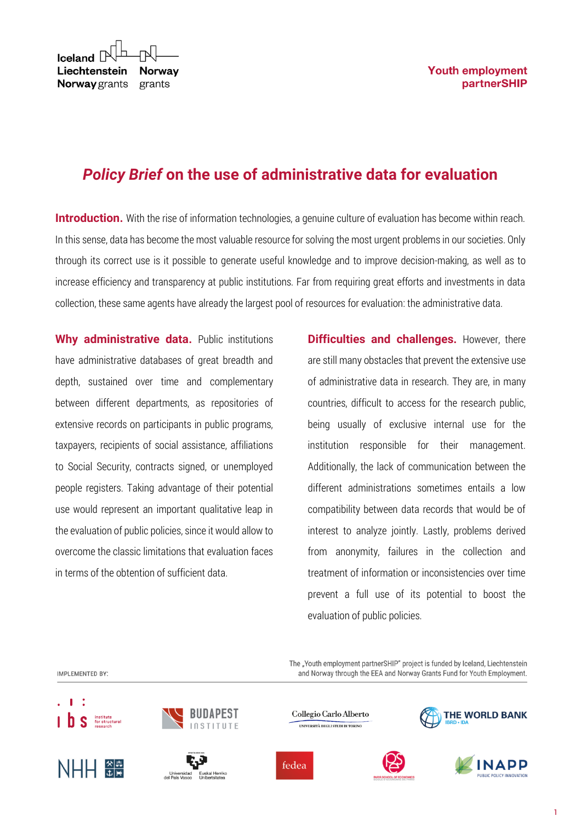| $\mathsf{I}\subseteq\mathsf{I}\subseteq\mathsf{I}\subseteq\mathsf{I}\subseteq\mathsf{I}\subseteq\mathsf{I}\subseteq\mathsf{I}$ |  |
|--------------------------------------------------------------------------------------------------------------------------------|--|
| Liechtenstein Norway                                                                                                           |  |
| <b>Norway</b> grants grants                                                                                                    |  |

# *Policy Brief* **on the use of administrative data for evaluation**

**Introduction.** With the rise of information technologies, a genuine culture of evaluation has become within reach. In this sense, data has become the most valuable resource for solving the most urgent problems in our societies. Only through its correct use is it possible to generate useful knowledge and to improve decision-making, as well as to increase efficiency and transparency at public institutions. Far from requiring great efforts and investments in data collection, these same agents have already the largest pool of resources for evaluation: the administrative data.

**Why administrative data.** Public institutions have administrative databases of great breadth and depth, sustained over time and complementary between different departments, as repositories of extensive records on participants in public programs, taxpayers, recipients of social assistance, affiliations to Social Security, contracts signed, or unemployed people registers. Taking advantage of their potential use would represent an important qualitative leap in the evaluation of public policies, since it would allow to overcome the classic limitations that evaluation faces in terms of the obtention of sufficient data.

**Difficulties and challenges.** However, there are still many obstacles that prevent the extensive use of administrative data in research. They are, in many countries, difficult to access for the research public, being usually of exclusive internal use for the institution responsible for their management. Additionally, the lack of communication between the different administrations sometimes entails a low compatibility between data records that would be of interest to analyze jointly. Lastly, problems derived from anonymity, failures in the collection and treatment of information or inconsistencies over time prevent a full use of its potential to boost the evaluation of public policies.

The "Youth employment partnerSHIP" project is funded by Iceland, Liechtenstein and Norway through the EEA and Norway Grants Fund for Youth Employment.

IMPI FMFNTFD RY'







Collegio Carlo Alberto UNIVERSITÀ DEGLI STUDI DI TORINO



THE WORLD BANK

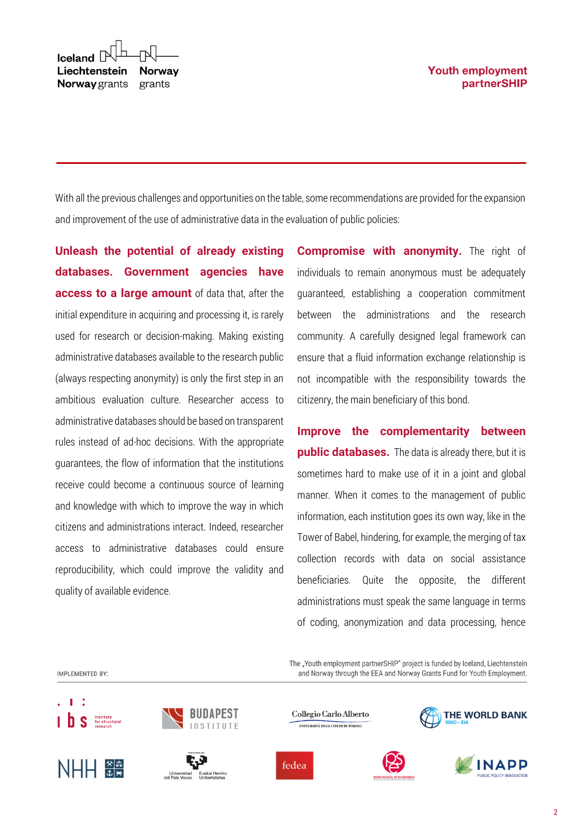With all the previous challenges and opportunities on the table, some recommendations are provided for the expansion and improvement of the use of administrative data in the evaluation of public policies:

**Unleash the potential of already existing databases. Government agencies have access to a large amount** of data that, after the initial expenditure in acquiring and processing it, is rarely used for research or decision-making. Making existing administrative databases available to the research public (always respecting anonymity) is only the first step in an ambitious evaluation culture. Researcher access to administrative databases should be based on transparent rules instead of ad-hoc decisions. With the appropriate guarantees, the flow of information that the institutions receive could become a continuous source of learning and knowledge with which to improve the way in which citizens and administrations interact. Indeed, researcher access to administrative databases could ensure reproducibility, which could improve the validity and quality of available evidence.

**Compromise with anonymity.** The right of individuals to remain anonymous must be adequately guaranteed, establishing a cooperation commitment between the administrations and the research community. A carefully designed legal framework can ensure that a fluid information exchange relationship is not incompatible with the responsibility towards the citizenry, the main beneficiary of this bond.

**Improve the complementarity between public databases.** The data is already there, but it is sometimes hard to make use of it in a joint and global manner. When it comes to the management of public information, each institution goes its own way, like in the Tower of Babel, hindering, for example, the merging of tax collection records with data on social assistance beneficiaries. Quite the opposite, the different administrations must speak the same language in terms of coding, anonymization and data processing, hence

The "Youth employment partnerSHIP" project is funded by Iceland, Liechtenstein and Norway through the EEA and Norway Grants Fund for Youth Employment.

```
IMPI FMFNTFD RY'
```








Collegio Carlo Alberto UNIVERSITÀ DEGLI STUDI DI TORINO

fedea





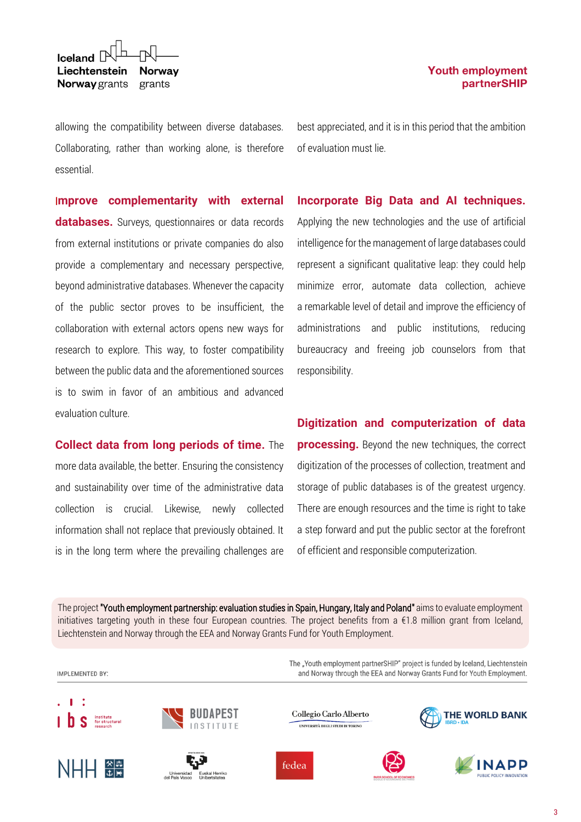Iceland  $\Box$ Liechtenstein **Norway** Norway grants grants

allowing the compatibility between diverse databases. Collaborating, rather than working alone, is therefore essential.

I**mprove complementarity with external databases.** Surveys, questionnaires or data records from external institutions or private companies do also provide a complementary and necessary perspective, beyond administrative databases. Whenever the capacity of the public sector proves to be insufficient, the collaboration with external actors opens new ways for research to explore. This way, to foster compatibility between the public data and the aforementioned sources is to swim in favor of an ambitious and advanced evaluation culture.

**Collect data from long periods of time.** The more data available, the better. Ensuring the consistency and sustainability over time of the administrative data collection is crucial. Likewise, newly collected information shall not replace that previously obtained. It is in the long term where the prevailing challenges are best appreciated, and it is in this period that the ambition of evaluation must lie.

### **Incorporate Big Data and AI techniques.**

Applying the new technologies and the use of artificial intelligence for the management of large databases could represent a significant qualitative leap: they could help minimize error, automate data collection, achieve a remarkable level of detail and improve the efficiency of administrations and public institutions, reducing bureaucracy and freeing job counselors from that responsibility.

### **Digitization and computerization of data**

**processing.** Beyond the new techniques, the correct digitization of the processes of collection, treatment and storage of public databases is of the greatest urgency. There are enough resources and the time is right to take a step forward and put the public sector at the forefront of efficient and responsible computerization.

The project "Youth employment partnership: evaluation studies in Spain, Hungary, Italy and Poland" aims to evaluate employment initiatives targeting youth in these four European countries. The project benefits from a €1.8 million grant from Iceland, Liechtenstein and Norway through the EEA and Norway Grants Fund for Youth Employment.